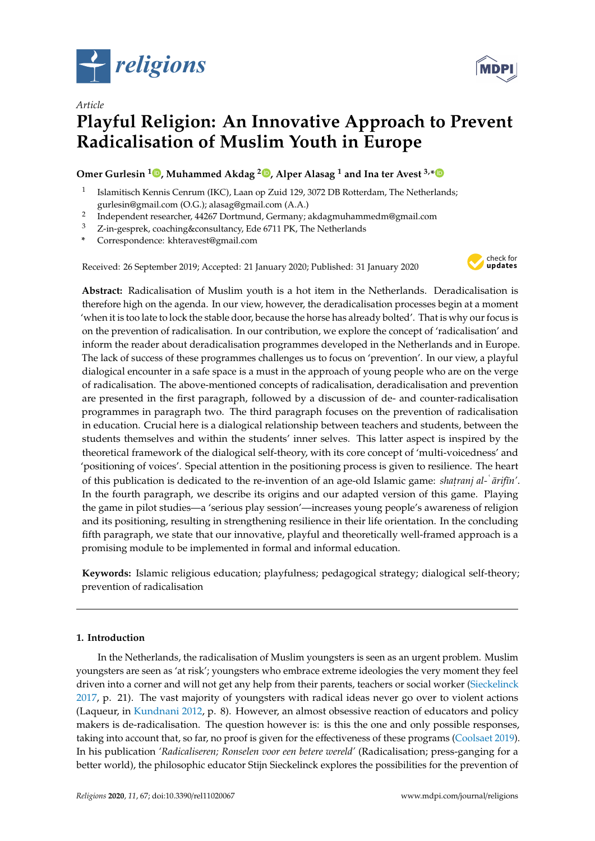

*Article*



# **Playful Religion: An Innovative Approach to Prevent Radicalisation of Muslim Youth in Europe Radicalisation of Muslim Youth in Europe Playful Religion: An Innovative Approach to Prevent**

# Omer Gurlesin <sup>1</sup>D[,](https://orcid.org/0000-0002-6937-1008) M[uh](https://orcid.org/0000-0002-4814-317X)ammed Akdag <sup>2</sup>D, Alper Alasag <sup>1</sup> and Ina ter Avest <sup>3,</sup>\*D

- 1 Islamitisch Kennis Cenrum (IKC), Laan op Zuid 129, 3072 DB Rotterdam, The Netherlands; <sup>1</sup> *Islamitisch Kennis Cenrum* (IKC), Laan op Zuid 129, 3072 DB Rotterdam, The Netherlands; gurlesin@gmail.com (O.G.); alasag@gmail.com (A.A.)  $\epsilon$ idant, The Netherlands,  $2 \cdot 2$
- 2 Independent researcher, 44267 Dortmund, Germany; akdagmuhammedm@gmail.com <sup>3</sup> *Z-in-gesprek*, coaching&consultancy, Ede 6711 PK, The Netherlands
- <sup>3</sup> Z-in-gesprek, coaching&consultancy, Ede 6711 PK, The Netherlands  $\frac{1}{2}$  Correspondence:  $\frac{1}{2}$  Correspondence:  $\frac{1}{2}$  Correspondence:  $\frac{1}{2}$  Correspondence:  $\frac{1}{2}$  Correspondence:  $\frac{1}{2}$  Correspondence:  $\frac{1}{2}$  Correspondence:  $\frac{1}{2}$  Correspondence:  $\frac{1}{2}$  Cor
- **\*** Correspondence: khteravest@gmail.com

Received: 26 September 2019; Accepted: 21 January 2020; Published: 31 January 2020



Abstract: Radicalisation of Muslim youth is a hot item in the Netherlands. Deradicalisation is therefore high on the agenda. In our view, however, the deradicalisation processes begin at a moment 'when it is too late to lock the stable door, because the horse has already bolted'. That is why our focus is on the prevention of radicalisation. In our contribution, we explore the concept of 'radicalisation' and inform the reader about deradicalisation programmes developed in the Netherlands and in Europe. The lack of success of these programmes challenges us to focus on 'prevention'. In our view, a playful dialogical encounter in a safe space is a must in the approach of young people who are on the verge of radicalisation. The above-mentioned concepts of radicalisation, deradicalisation and prevention are presented in the first paragraph, followed by a discussion of de- and counter-radicalisation programmes in paragraph two. The third paragraph focuses on the prevention of radicalisation in education. Crucial here is a dialogical relationship between teachers and students, between the students themselves and within the students' inner selves. This latter aspect is inspired by the theoretical framework of the dialogical self-theory, with its core concept of 'multi-voicedness' and 'positioning of voices'. Special attention in the positioning process is given to resilience. The heart of this publication is dedicated to the re-invention of an age-old Islamic game: shatranj al- arifin'. In the fourth paragraph, we describe its origins and our adapted version of this game. Playing the game in pilot studies—a 'serious play session'—increases young people's awareness of religion and its positioning, resulting in strengthening resilience in their life orientation. In the concluding fifth paragraph, we state that our innovative, playful and theoretically well-framed approach is a promising module to be implemented in formal and informal education.

**Keywords:** Islamic religious education; playfulness; pedagogical strategy; dialogical self-theory; **Keywords:** Islamic religious education; playfulness; pedagogical strategy; dialogical self-theory; prevention of radicalisation

# **1. Introduction**

In the Netherlands, the radicalisation of Muslim youngsters is seen as an urgent problem. Muslim youngsters are seen as 'at risk'; youngsters who embrace extreme ideologies the very moment they feel driven into a corner and will not get any help from their parents, teachers or social worker (Sieckelinck [2017,](#page-15-0) p. 21). The vast majority of youngsters with radical ideas never go over to violent actions (Laqueur, in [Kundnani](#page-14-0) [2012,](#page-14-0) p. 8). However, an almost obsessive reaction of educators and policy makers is de-radicalisation. The question however is: is this the one and only possible responses, taking into account that, so far, no proof is given for the effectiveness of these programs (Coolsaet 2019). In his publication *'Radicaliseren; Ronselen voor een betere wereld' (*Radicalisation; press-ganging for a better world), the philosophic educator Stijn Sieckelinck explores the possibilities for the prevention of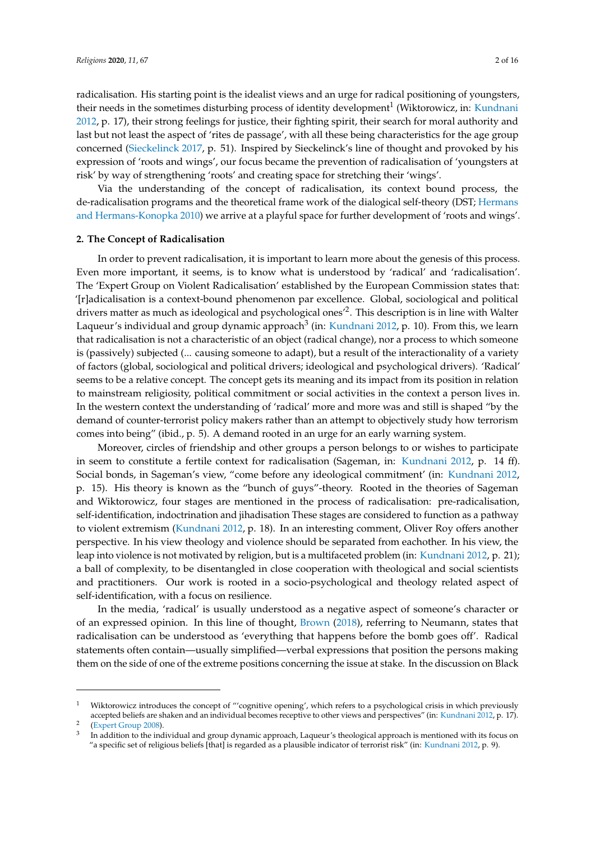radicalisation. His starting point is the idealist views and an urge for radical positioning of youngsters, their needs in the sometimes disturbing process of identity development<sup>1</sup> (Wiktorowicz, in: [Kundnani](#page-14-0) [2012,](#page-14-0) p. 17), their strong feelings for justice, their fighting spirit, their search for moral authority and last but not least the aspect of 'rites de passage', with all these being characteristics for the age group concerned [\(Sieckelinck](#page-15-0) [2017,](#page-15-0) p. 51). Inspired by Sieckelinck's line of thought and provoked by his expression of 'roots and wings', our focus became the prevention of radicalisation of 'youngsters at risk' by way of strengthening 'roots' and creating space for stretching their 'wings'.

Via the understanding of the concept of radicalisation, its context bound process, the de-radicalisation programs and the theoretical frame work of the dialogical self-theory (DST; [Hermans](#page-14-1) [and Hermans-Konopka](#page-14-1) [2010\)](#page-14-1) we arrive at a playful space for further development of 'roots and wings'.

# **2. The Concept of Radicalisation**

In order to prevent radicalisation, it is important to learn more about the genesis of this process. Even more important, it seems, is to know what is understood by 'radical' and 'radicalisation'. The 'Expert Group on Violent Radicalisation' established by the European Commission states that: '[r]adicalisation is a context-bound phenomenon par excellence. Global, sociological and political drivers matter as much as ideological and psychological ones'<sup>2</sup> . This description is in line with Walter Laqueur's individual and group dynamic approach<sup>3</sup> (in: [Kundnani](#page-14-0) [2012,](#page-14-0) p. 10). From this, we learn that radicalisation is not a characteristic of an object (radical change), nor a process to which someone is (passively) subjected (... causing someone to adapt), but a result of the interactionality of a variety of factors (global, sociological and political drivers; ideological and psychological drivers). 'Radical' seems to be a relative concept. The concept gets its meaning and its impact from its position in relation to mainstream religiosity, political commitment or social activities in the context a person lives in. In the western context the understanding of 'radical' more and more was and still is shaped "by the demand of counter-terrorist policy makers rather than an attempt to objectively study how terrorism comes into being" (ibid., p. 5). A demand rooted in an urge for an early warning system.

Moreover, circles of friendship and other groups a person belongs to or wishes to participate in seem to constitute a fertile context for radicalisation (Sageman, in: [Kundnani](#page-14-0) [2012,](#page-14-0) p. 14 ff). Social bonds, in Sageman's view, "come before any ideological commitment' (in: [Kundnani](#page-14-0) [2012,](#page-14-0) p. 15). His theory is known as the "bunch of guys"-theory. Rooted in the theories of Sageman and Wiktorowicz, four stages are mentioned in the process of radicalisation: pre-radicalisation, self-identification, indoctrination and jihadisation These stages are considered to function as a pathway to violent extremism [\(Kundnani](#page-14-0) [2012,](#page-14-0) p. 18). In an interesting comment, Oliver Roy offers another perspective. In his view theology and violence should be separated from eachother. In his view, the leap into violence is not motivated by religion, but is a multifaceted problem (in: [Kundnani](#page-14-0) [2012,](#page-14-0) p. 21); a ball of complexity, to be disentangled in close cooperation with theological and social scientists and practitioners. Our work is rooted in a socio-psychological and theology related aspect of self-identification, with a focus on resilience.

In the media, 'radical' is usually understood as a negative aspect of someone's character or of an expressed opinion. In this line of thought, [Brown](#page-13-1) [\(2018\)](#page-13-1), referring to Neumann, states that radicalisation can be understood as 'everything that happens before the bomb goes off'. Radical statements often contain—usually simplified—verbal expressions that position the persons making them on the side of one of the extreme positions concerning the issue at stake. In the discussion on Black

Wiktorowicz introduces the concept of "'cognitive opening', which refers to a psychological crisis in which previously accepted beliefs are shaken and an individual becomes receptive to other views and perspectives" (in: [Kundnani](#page-14-0) [2012,](#page-14-0) p. 17). 2

[<sup>\(</sup>Expert Group](#page-14-2) [2008\)](#page-14-2).

<sup>3</sup> In addition to the individual and group dynamic approach, Laqueur's theological approach is mentioned with its focus on "a specific set of religious beliefs [that] is regarded as a plausible indicator of terrorist risk" (in: [Kundnani](#page-14-0) [2012,](#page-14-0) p. 9).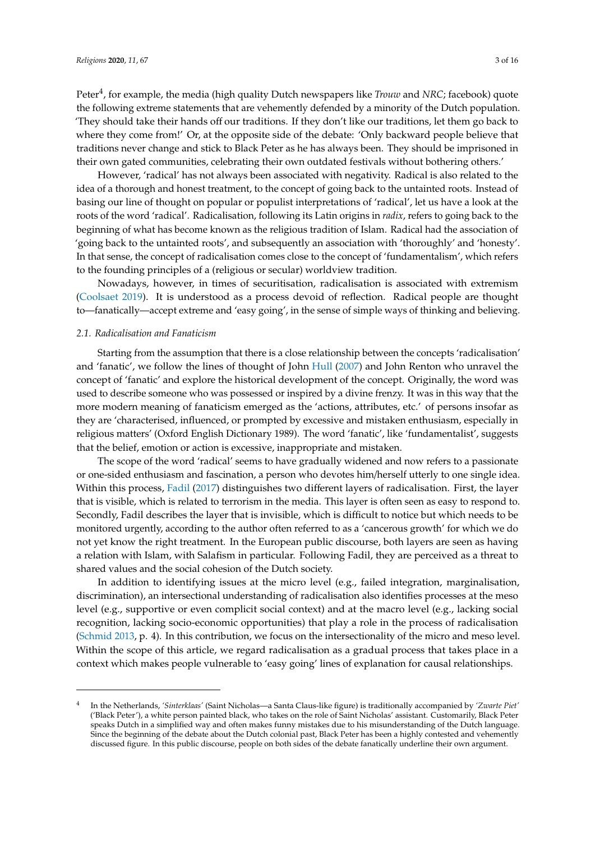Peter<sup>4</sup>, for example, the media (high quality Dutch newspapers like *Trouw* and *NRC*; facebook) quote the following extreme statements that are vehemently defended by a minority of the Dutch population. 'They should take their hands off our traditions. If they don't like our traditions, let them go back to where they come from!' Or, at the opposite side of the debate: 'Only backward people believe that traditions never change and stick to Black Peter as he has always been. They should be imprisoned in their own gated communities, celebrating their own outdated festivals without bothering others.'

However, 'radical' has not always been associated with negativity. Radical is also related to the idea of a thorough and honest treatment, to the concept of going back to the untainted roots. Instead of basing our line of thought on popular or populist interpretations of 'radical', let us have a look at the roots of the word 'radical'. Radicalisation, following its Latin origins in *radix*, refers to going back to the beginning of what has become known as the religious tradition of Islam. Radical had the association of 'going back to the untainted roots', and subsequently an association with 'thoroughly' and 'honesty'. In that sense, the concept of radicalisation comes close to the concept of 'fundamentalism', which refers to the founding principles of a (religious or secular) worldview tradition.

Nowadays, however, in times of securitisation, radicalisation is associated with extremism [\(Coolsaet](#page-13-0) [2019\)](#page-13-0). It is understood as a process devoid of reflection. Radical people are thought to—fanatically—accept extreme and 'easy going', in the sense of simple ways of thinking and believing.

# *2.1. Radicalisation and Fanaticism*

Starting from the assumption that there is a close relationship between the concepts 'radicalisation' and 'fanatic', we follow the lines of thought of John [Hull](#page-14-3) [\(2007\)](#page-14-3) and John Renton who unravel the concept of 'fanatic' and explore the historical development of the concept. Originally, the word was used to describe someone who was possessed or inspired by a divine frenzy. It was in this way that the more modern meaning of fanaticism emerged as the 'actions, attributes, etc.' of persons insofar as they are 'characterised, influenced, or prompted by excessive and mistaken enthusiasm, especially in religious matters' (Oxford English Dictionary 1989). The word 'fanatic', like 'fundamentalist', suggests that the belief, emotion or action is excessive, inappropriate and mistaken.

The scope of the word 'radical' seems to have gradually widened and now refers to a passionate or one-sided enthusiasm and fascination, a person who devotes him/herself utterly to one single idea. Within this process, [Fadil](#page-14-4) [\(2017\)](#page-14-4) distinguishes two different layers of radicalisation. First, the layer that is visible, which is related to terrorism in the media. This layer is often seen as easy to respond to. Secondly, Fadil describes the layer that is invisible, which is difficult to notice but which needs to be monitored urgently, according to the author often referred to as a 'cancerous growth' for which we do not yet know the right treatment. In the European public discourse, both layers are seen as having a relation with Islam, with Salafism in particular. Following Fadil, they are perceived as a threat to shared values and the social cohesion of the Dutch society.

In addition to identifying issues at the micro level (e.g., failed integration, marginalisation, discrimination), an intersectional understanding of radicalisation also identifies processes at the meso level (e.g., supportive or even complicit social context) and at the macro level (e.g., lacking social recognition, lacking socio-economic opportunities) that play a role in the process of radicalisation [\(Schmid](#page-14-5) [2013,](#page-14-5) p. 4). In this contribution, we focus on the intersectionality of the micro and meso level. Within the scope of this article, we regard radicalisation as a gradual process that takes place in a context which makes people vulnerable to 'easy going' lines of explanation for causal relationships.

<sup>4</sup> In the Netherlands, *'Sinterklaas'* (Saint Nicholas—a Santa Claus-like figure) is traditionally accompanied by *'Zwarte Piet'* ('Black Peter'), a white person painted black, who takes on the role of Saint Nicholas' assistant. Customarily, Black Peter speaks Dutch in a simplified way and often makes funny mistakes due to his misunderstanding of the Dutch language. Since the beginning of the debate about the Dutch colonial past, Black Peter has been a highly contested and vehemently discussed figure. In this public discourse, people on both sides of the debate fanatically underline their own argument.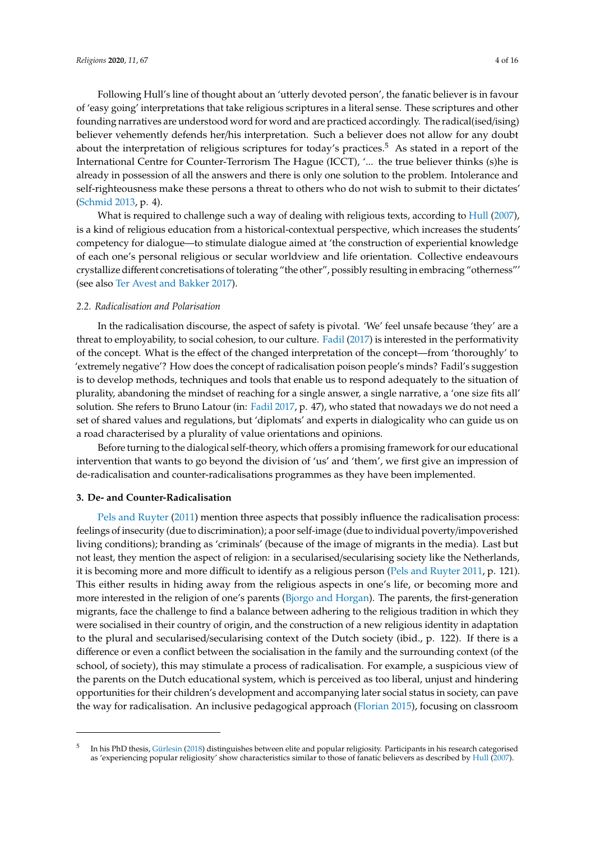Following Hull's line of thought about an 'utterly devoted person', the fanatic believer is in favour of 'easy going' interpretations that take religious scriptures in a literal sense. These scriptures and other founding narratives are understood word for word and are practiced accordingly. The radical(ised/ising) believer vehemently defends her/his interpretation. Such a believer does not allow for any doubt about the interpretation of religious scriptures for today's practices.<sup>5</sup> As stated in a report of the International Centre for Counter-Terrorism The Hague (ICCT), '... the true believer thinks (s)he is already in possession of all the answers and there is only one solution to the problem. Intolerance and self-righteousness make these persons a threat to others who do not wish to submit to their dictates' [\(Schmid](#page-14-5) [2013,](#page-14-5) p. 4).

What is required to challenge such a way of dealing with religious texts, according to [Hull](#page-14-3) [\(2007\)](#page-14-3), is a kind of religious education from a historical-contextual perspective, which increases the students' competency for dialogue—to stimulate dialogue aimed at 'the construction of experiential knowledge of each one's personal religious or secular worldview and life orientation. Collective endeavours crystallize different concretisations of tolerating "the other", possibly resulting in embracing "otherness"' (see also [Ter Avest and Bakker](#page-15-1) [2017\)](#page-15-1).

#### *2.2. Radicalisation and Polarisation*

In the radicalisation discourse, the aspect of safety is pivotal. 'We' feel unsafe because 'they' are a threat to employability, to social cohesion, to our culture. [Fadil](#page-14-4) [\(2017\)](#page-14-4) is interested in the performativity of the concept. What is the effect of the changed interpretation of the concept—from 'thoroughly' to 'extremely negative'? How does the concept of radicalisation poison people's minds? Fadil's suggestion is to develop methods, techniques and tools that enable us to respond adequately to the situation of plurality, abandoning the mindset of reaching for a single answer, a single narrative, a 'one size fits all' solution. She refers to Bruno Latour (in: [Fadil](#page-14-4) [2017,](#page-14-4) p. 47), who stated that nowadays we do not need a set of shared values and regulations, but 'diplomats' and experts in dialogicality who can guide us on a road characterised by a plurality of value orientations and opinions.

Before turning to the dialogical self-theory, which offers a promising framework for our educational intervention that wants to go beyond the division of 'us' and 'them', we first give an impression of de-radicalisation and counter-radicalisations programmes as they have been implemented.

# **3. De- and Counter-Radicalisation**

[Pels and Ruyter](#page-14-6) [\(2011\)](#page-14-6) mention three aspects that possibly influence the radicalisation process: feelings of insecurity (due to discrimination); a poor self-image (due to individual poverty/impoverished living conditions); branding as 'criminals' (because of the image of migrants in the media). Last but not least, they mention the aspect of religion: in a secularised/secularising society like the Netherlands, it is becoming more and more difficult to identify as a religious person [\(Pels and Ruyter](#page-14-6) [2011,](#page-14-6) p. 121). This either results in hiding away from the religious aspects in one's life, or becoming more and more interested in the religion of one's parents [\(Bjorgo and Horgan\)](#page-13-2). The parents, the first-generation migrants, face the challenge to find a balance between adhering to the religious tradition in which they were socialised in their country of origin, and the construction of a new religious identity in adaptation to the plural and secularised/secularising context of the Dutch society (ibid., p. 122). If there is a difference or even a conflict between the socialisation in the family and the surrounding context (of the school, of society), this may stimulate a process of radicalisation. For example, a suspicious view of the parents on the Dutch educational system, which is perceived as too liberal, unjust and hindering opportunities for their children's development and accompanying later social status in society, can pave the way for radicalisation. An inclusive pedagogical approach [\(Florian](#page-14-7) [2015\)](#page-14-7), focusing on classroom

<sup>5</sup> In his PhD thesis, [Gürlesin](#page-14-8) [\(2018\)](#page-14-8) distinguishes between elite and popular religiosity. Participants in his research categorised as 'experiencing popular religiosity' show characteristics similar to those of fanatic believers as described by [Hull](#page-14-3) [\(2007\)](#page-14-3).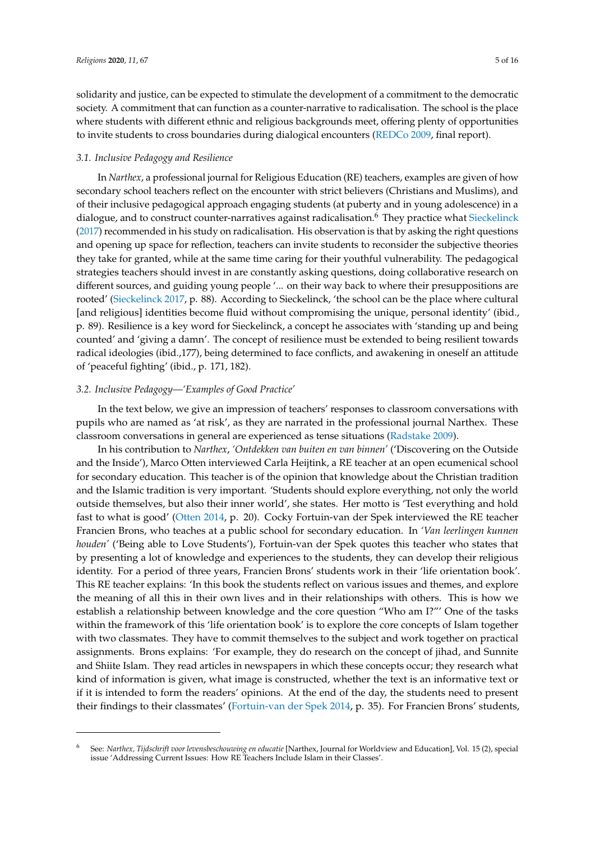solidarity and justice, can be expected to stimulate the development of a commitment to the democratic society. A commitment that can function as a counter-narrative to radicalisation. The school is the place where students with different ethnic and religious backgrounds meet, offering plenty of opportunities to invite students to cross boundaries during dialogical encounters [\(REDCo](#page-14-9) [2009,](#page-14-9) final report).

# *3.1. Inclusive Pedagogy and Resilience*

In *Narthex*, a professional journal for Religious Education (RE) teachers, examples are given of how secondary school teachers reflect on the encounter with strict believers (Christians and Muslims), and of their inclusive pedagogical approach engaging students (at puberty and in young adolescence) in a dialogue, and to construct counter-narratives against radicalisation.<sup>6</sup> They practice what [Sieckelinck](#page-15-0) [\(2017\)](#page-15-0) recommended in his study on radicalisation. His observation is that by asking the right questions and opening up space for reflection, teachers can invite students to reconsider the subjective theories they take for granted, while at the same time caring for their youthful vulnerability. The pedagogical strategies teachers should invest in are constantly asking questions, doing collaborative research on different sources, and guiding young people '... on their way back to where their presuppositions are rooted' [\(Sieckelinck](#page-15-0) [2017,](#page-15-0) p. 88). According to Sieckelinck, 'the school can be the place where cultural [and religious] identities become fluid without compromising the unique, personal identity' (ibid., p. 89). Resilience is a key word for Sieckelinck, a concept he associates with 'standing up and being counted' and 'giving a damn'. The concept of resilience must be extended to being resilient towards radical ideologies (ibid.,177), being determined to face conflicts, and awakening in oneself an attitude of 'peaceful fighting' (ibid., p. 171, 182).

# *3.2. Inclusive Pedagogy—'Examples of Good Practice'*

In the text below, we give an impression of teachers' responses to classroom conversations with pupils who are named as 'at risk', as they are narrated in the professional journal Narthex. These classroom conversations in general are experienced as tense situations [\(Radstake](#page-14-10) [2009\)](#page-14-10).

In his contribution to *Narthex*, *'Ontdekken van buiten en van binnen'* ('Discovering on the Outside and the Inside'), Marco Otten interviewed Carla Heijtink, a RE teacher at an open ecumenical school for secondary education. This teacher is of the opinion that knowledge about the Christian tradition and the Islamic tradition is very important. 'Students should explore everything, not only the world outside themselves, but also their inner world', she states. Her motto is 'Test everything and hold fast to what is good' [\(Otten](#page-14-11) [2014,](#page-14-11) p. 20). Cocky Fortuin-van der Spek interviewed the RE teacher Francien Brons, who teaches at a public school for secondary education. In *'Van leerlingen kunnen houden'* ('Being able to Love Students'), Fortuin-van der Spek quotes this teacher who states that by presenting a lot of knowledge and experiences to the students, they can develop their religious identity. For a period of three years, Francien Brons' students work in their 'life orientation book'. This RE teacher explains: 'In this book the students reflect on various issues and themes, and explore the meaning of all this in their own lives and in their relationships with others. This is how we establish a relationship between knowledge and the core question "Who am I?"' One of the tasks within the framework of this 'life orientation book' is to explore the core concepts of Islam together with two classmates. They have to commit themselves to the subject and work together on practical assignments. Brons explains: 'For example, they do research on the concept of jihad, and Sunnite and Shiite Islam. They read articles in newspapers in which these concepts occur; they research what kind of information is given, what image is constructed, whether the text is an informative text or if it is intended to form the readers' opinions. At the end of the day, the students need to present their findings to their classmates' [\(Fortuin-van der Spek](#page-14-12) [2014,](#page-14-12) p. 35). For Francien Brons' students,

<sup>6</sup> See: *Narthex, Tijdschrift voor levensbeschouwing en educatie* [Narthex, Journal for Worldview and Education], Vol. 15 (2), special issue 'Addressing Current Issues: How RE Teachers Include Islam in their Classes'.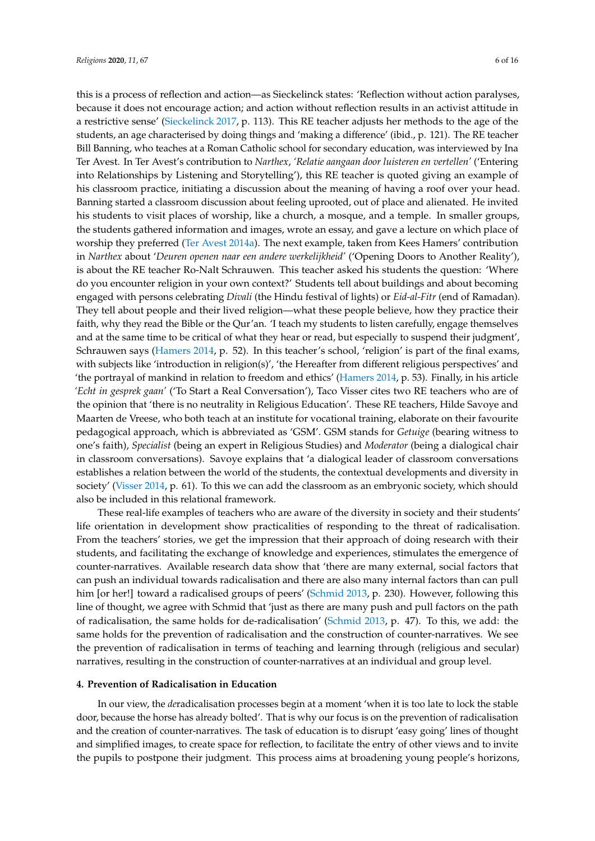this is a process of reflection and action—as Sieckelinck states: 'Reflection without action paralyses, because it does not encourage action; and action without reflection results in an activist attitude in a restrictive sense' [\(Sieckelinck](#page-15-0) [2017,](#page-15-0) p. 113). This RE teacher adjusts her methods to the age of the students, an age characterised by doing things and 'making a difference' (ibid., p. 121). The RE teacher Bill Banning, who teaches at a Roman Catholic school for secondary education, was interviewed by Ina Ter Avest. In Ter Avest's contribution to *Narthex*, *'Relatie aangaan door luisteren en vertellen'* ('Entering into Relationships by Listening and Storytelling'), this RE teacher is quoted giving an example of his classroom practice, initiating a discussion about the meaning of having a roof over your head. Banning started a classroom discussion about feeling uprooted, out of place and alienated. He invited his students to visit places of worship, like a church, a mosque, and a temple. In smaller groups, the students gathered information and images, wrote an essay, and gave a lecture on which place of worship they preferred [\(Ter Avest](#page-15-2) [2014a\)](#page-15-2). The next example, taken from Kees Hamers' contribution in *Narthex* about '*Deuren openen naar een andere werkelijkheid'* ('Opening Doors to Another Reality'), is about the RE teacher Ro-Nalt Schrauwen. This teacher asked his students the question: 'Where do you encounter religion in your own context?' Students tell about buildings and about becoming engaged with persons celebrating *Divali* (the Hindu festival of lights) or *Eid-al-Fitr* (end of Ramadan). They tell about people and their lived religion—what these people believe, how they practice their faith, why they read the Bible or the Qur'an. 'I teach my students to listen carefully, engage themselves and at the same time to be critical of what they hear or read, but especially to suspend their judgment', Schrauwen says [\(Hamers](#page-14-13) [2014,](#page-14-13) p. 52). In this teacher's school, 'religion' is part of the final exams, with subjects like 'introduction in religion(s)', 'the Hereafter from different religious perspectives' and 'the portrayal of mankind in relation to freedom and ethics' [\(Hamers](#page-14-13) [2014,](#page-14-13) p. 53). Finally, in his article *'Echt in gesprek gaan'* ('To Start a Real Conversation'), Taco Visser cites two RE teachers who are of the opinion that 'there is no neutrality in Religious Education'. These RE teachers, Hilde Savoye and Maarten de Vreese, who both teach at an institute for vocational training, elaborate on their favourite pedagogical approach, which is abbreviated as 'GSM'. GSM stands for *Getuige* (bearing witness to one's faith), *Specialist* (being an expert in Religious Studies) and *Moderator* (being a dialogical chair in classroom conversations). Savoye explains that 'a dialogical leader of classroom conversations establishes a relation between the world of the students, the contextual developments and diversity in society' [\(Visser](#page-15-3) [2014,](#page-15-3) p. 61). To this we can add the classroom as an embryonic society, which should also be included in this relational framework.

These real-life examples of teachers who are aware of the diversity in society and their students' life orientation in development show practicalities of responding to the threat of radicalisation. From the teachers' stories, we get the impression that their approach of doing research with their students, and facilitating the exchange of knowledge and experiences, stimulates the emergence of counter-narratives. Available research data show that 'there are many external, social factors that can push an individual towards radicalisation and there are also many internal factors than can pull him [or her!] toward a radicalised groups of peers' [\(Schmid](#page-14-5) [2013,](#page-14-5) p. 230). However, following this line of thought, we agree with Schmid that 'just as there are many push and pull factors on the path of radicalisation, the same holds for de-radicalisation' [\(Schmid](#page-14-5) [2013,](#page-14-5) p. 47). To this, we add: the same holds for the prevention of radicalisation and the construction of counter-narratives. We see the prevention of radicalisation in terms of teaching and learning through (religious and secular) narratives, resulting in the construction of counter-narratives at an individual and group level.

# **4. Prevention of Radicalisation in Education**

In our view, the *de*radicalisation processes begin at a moment 'when it is too late to lock the stable door, because the horse has already bolted'. That is why our focus is on the prevention of radicalisation and the creation of counter-narratives. The task of education is to disrupt 'easy going' lines of thought and simplified images, to create space for reflection, to facilitate the entry of other views and to invite the pupils to postpone their judgment. This process aims at broadening young people's horizons,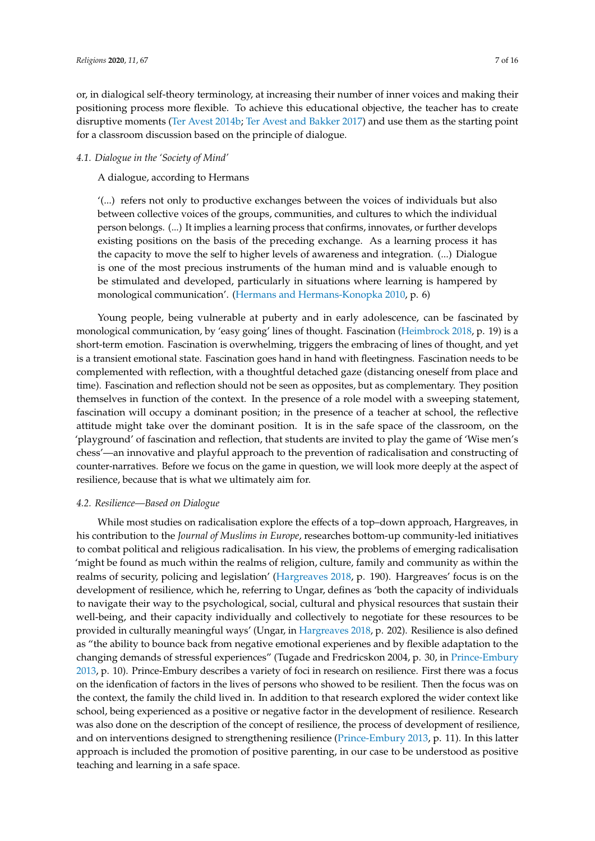or, in dialogical self-theory terminology, at increasing their number of inner voices and making their positioning process more flexible. To achieve this educational objective, the teacher has to create disruptive moments [\(Ter Avest](#page-15-4) [2014b;](#page-15-4) [Ter Avest and Bakker](#page-15-1) [2017\)](#page-15-1) and use them as the starting point for a classroom discussion based on the principle of dialogue.

# *4.1. Dialogue in the 'Society of Mind'*

A dialogue, according to Hermans

'(...) refers not only to productive exchanges between the voices of individuals but also between collective voices of the groups, communities, and cultures to which the individual person belongs. (...) It implies a learning process that confirms, innovates, or further develops existing positions on the basis of the preceding exchange. As a learning process it has the capacity to move the self to higher levels of awareness and integration. (...) Dialogue is one of the most precious instruments of the human mind and is valuable enough to be stimulated and developed, particularly in situations where learning is hampered by monological communication'. [\(Hermans and Hermans-Konopka](#page-14-1) [2010,](#page-14-1) p. 6)

Young people, being vulnerable at puberty and in early adolescence, can be fascinated by monological communication, by 'easy going' lines of thought. Fascination [\(Heimbrock](#page-14-14) [2018,](#page-14-14) p. 19) is a short-term emotion. Fascination is overwhelming, triggers the embracing of lines of thought, and yet is a transient emotional state. Fascination goes hand in hand with fleetingness. Fascination needs to be complemented with reflection, with a thoughtful detached gaze (distancing oneself from place and time). Fascination and reflection should not be seen as opposites, but as complementary. They position themselves in function of the context. In the presence of a role model with a sweeping statement, fascination will occupy a dominant position; in the presence of a teacher at school, the reflective attitude might take over the dominant position. It is in the safe space of the classroom, on the 'playground' of fascination and reflection, that students are invited to play the game of 'Wise men's chess'—an innovative and playful approach to the prevention of radicalisation and constructing of counter-narratives. Before we focus on the game in question, we will look more deeply at the aspect of resilience, because that is what we ultimately aim for.

# *4.2. Resilience—Based on Dialogue*

While most studies on radicalisation explore the effects of a top–down approach, Hargreaves, in his contribution to the *Journal of Muslims in Europe*, researches bottom-up community-led initiatives to combat political and religious radicalisation. In his view, the problems of emerging radicalisation 'might be found as much within the realms of religion, culture, family and community as within the realms of security, policing and legislation' [\(Hargreaves](#page-14-15) [2018,](#page-14-15) p. 190). Hargreaves' focus is on the development of resilience, which he, referring to Ungar, defines as 'both the capacity of individuals to navigate their way to the psychological, social, cultural and physical resources that sustain their well-being, and their capacity individually and collectively to negotiate for these resources to be provided in culturally meaningful ways' (Ungar, in [Hargreaves](#page-14-15) [2018,](#page-14-15) p. 202). Resilience is also defined as "the ability to bounce back from negative emotional experienes and by flexible adaptation to the changing demands of stressful experiences" (Tugade and Fredricskon 2004, p. 30, in [Prince-Embury](#page-14-16) [2013,](#page-14-16) p. 10). Prince-Embury describes a variety of foci in research on resilience. First there was a focus on the idenfication of factors in the lives of persons who showed to be resilient. Then the focus was on the context, the family the child lived in. In addition to that research explored the wider context like school, being experienced as a positive or negative factor in the development of resilience. Research was also done on the description of the concept of resilience, the process of development of resilience, and on interventions designed to strengthening resilience [\(Prince-Embury](#page-14-16) [2013,](#page-14-16) p. 11). In this latter approach is included the promotion of positive parenting, in our case to be understood as positive teaching and learning in a safe space.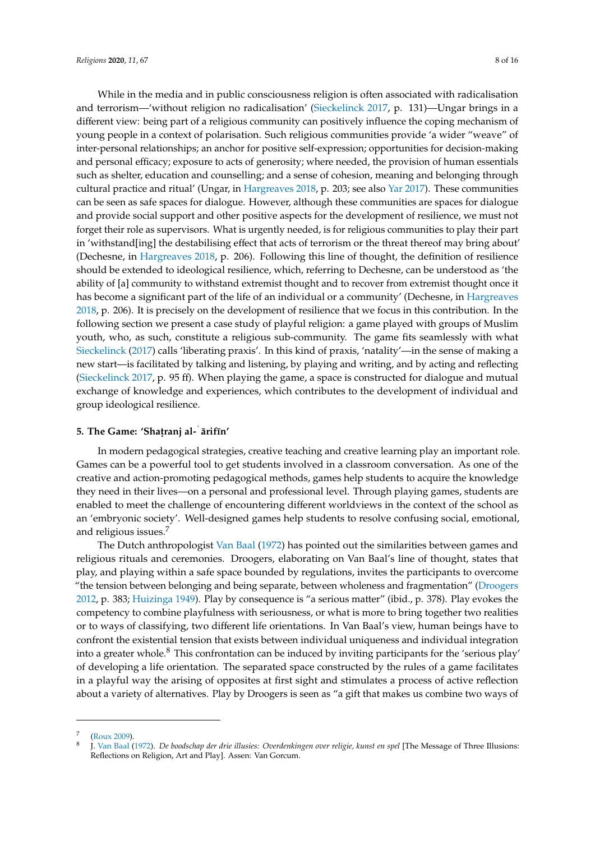While in the media and in public consciousness religion is often associated with radicalisation and terrorism—'without religion no radicalisation' [\(Sieckelinck](#page-15-0) [2017,](#page-15-0) p. 131)—Ungar brings in a different view: being part of a religious community can positively influence the coping mechanism of young people in a context of polarisation. Such religious communities provide 'a wider "weave" of inter-personal relationships; an anchor for positive self-expression; opportunities for decision-making and personal efficacy; exposure to acts of generosity; where needed, the provision of human essentials such as shelter, education and counselling; and a sense of cohesion, meaning and belonging through cultural practice and ritual' (Ungar, in [Hargreaves](#page-14-15) [2018,](#page-14-15) p. 203; see also [Yar](#page-15-5) [2017\)](#page-15-5). These communities can be seen as safe spaces for dialogue. However, although these communities are spaces for dialogue and provide social support and other positive aspects for the development of resilience, we must not forget their role as supervisors. What is urgently needed, is for religious communities to play their part in 'withstand[ing] the destabilising effect that acts of terrorism or the threat thereof may bring about' (Dechesne, in [Hargreaves](#page-14-15) [2018,](#page-14-15) p. 206). Following this line of thought, the definition of resilience should be extended to ideological resilience, which, referring to Dechesne, can be understood as 'the ability of [a] community to withstand extremist thought and to recover from extremist thought once it has become a significant part of the life of an individual or a community' (Dechesne, in [Hargreaves](#page-14-15) [2018,](#page-14-15) p. 206). It is precisely on the development of resilience that we focus in this contribution. In the following section we present a case study of playful religion: a game played with groups of Muslim youth, who, as such, constitute a religious sub-community. The game fits seamlessly with what [Sieckelinck](#page-15-0) [\(2017\)](#page-15-0) calls 'liberating praxis'. In this kind of praxis, 'natality'—in the sense of making a new start—is facilitated by talking and listening, by playing and writing, and by acting and reflecting [\(Sieckelinck](#page-15-0) [2017,](#page-15-0) p. 95 ff). When playing the game, a space is constructed for dialogue and mutual exchange of knowledge and experiences, which contributes to the development of individual and group ideological resilience.<br>
and 'multi-voices' and 'position' of voices' at the position in the position in the position in the position

# 5. The Game: 'Shaṭranj al- ārifīn'

adapted version of this game. Playing the game in pilot studies—a 'serious play session'—increases playing the game increases  $\sim$ In modern pedagogical strategies, creative teaching and creative learning play an important role. Games can be a powerful tool to get students involved in a classroom conversation. As one of the creative and action-promoting pedagogical methods, games help students to acquire the knowledge<br>creative and action-promoting pedagogical methods, games help students to acquire the knowledge they need in their lives—on a personal and professional level. Through playing games, students are an 'embryonic society'. Well-designed games help students to resolve confusing social, emotional, and religious issues.<sup>7</sup> enabled to meet the challenge of encountering different worldviews in the context of the school as

**1. Introduction**  play, and playing within a safe space bounded by regulations, invites the participants to overcome [2012,](#page-13-3) p. 383; [Huizinga](#page-14-17) [1949\)](#page-14-17). Play by consequence is "a serious matter" (ibid., p. 378). Play evokes the competency to combine playfulness with seriousness, or what is more to bring together two realities or to ways of classifying, two different life orientations. In Van Baal's view, human beings have to confront the existential tension that exists between individual uniqueness and individual integration into a greater whole.<sup>8</sup> This confrontation can be induced by inviting participants for the 'serious play' of developing a life orientation. The separated space constructed by the rules of a game facilitates in a playful way the arising of opposites at first sight and stimulates a process of active reflection about a variety of alternatives. Play by Droogers is seen as "a gift that makes us combine two ways of The Dutch anthropologist [Van Baal](#page-15-6) [\(1972\)](#page-15-6) has pointed out the similarities between games and religious rituals and ceremonies. Droogers, elaborating on Van Baal's line of thought, states that "the tension between belonging and being separate, between wholeness and fragmentation" [\(Droogers](#page-13-3)

ganging for a better world), the philosophic educator Stijn Sieckelinck explores the possibilities for

 $R_{\text{2000}}^{7}$   $(R_{\text{2000}}^{0.000})$ 7 [\(Roux](#page-14-18) [2009\)](#page-14-18).

<sup>8</sup> J. [Van Baal](#page-15-6) [\(1972\)](#page-15-6). *De boodschap der drie illusies: Overdenkingen over religie, kunst en spel* [The Message of Three Illusions: Reflections on Religion, Art and Play]. Assen: Van Gorcum.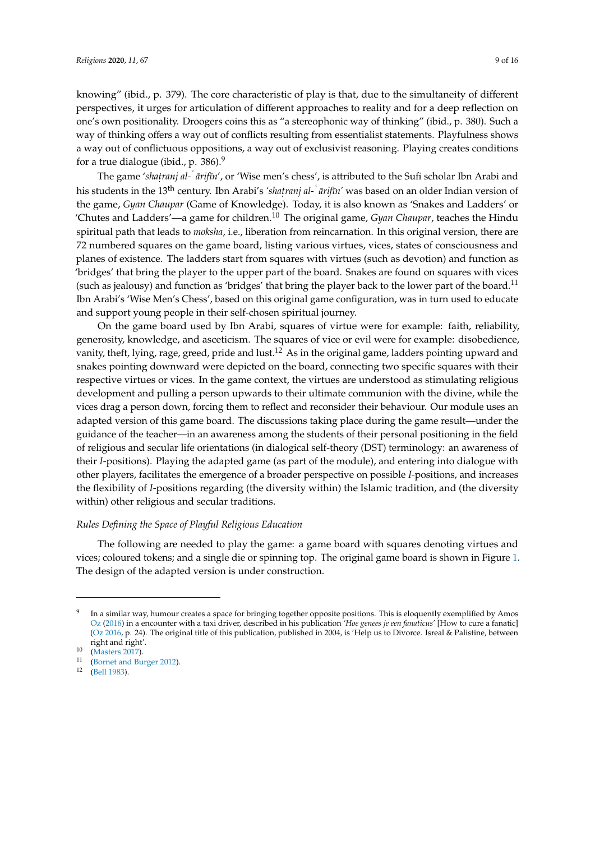knowing" (ibid., p. 379). The core characteristic of play is that, due to the simultaneity of different perspectives, it urges for articulation of different approaches to reality and for a deep reflection on one's own positionality. Droogers coins this as "a stereophonic way of thinking" (ibid., p. 380). Such a way of thinking offers a way out of conflicts resulting from essentialist statements. Playfulness shows a way out of conflictuous oppositions, a way out of exclusivist reasoning. Playing creates conditions for a true dialogue (ibid., p.  $386$ ). $\frac{9}{2}$ 

The game 'shatranj al- arifin', or 'Wise men's chess', is attributed to the Sufi scholar Ibn Arabi and his students in the 13<sup>th</sup> century. Ibn Arabi's 'shatranj al- arifin' was based on an older Indian version of the game, Gyan Chaupar (Game of Knowledge). Today, it is also known as 'Snakes and Ladders' or 'Chutes and Ladders'—a game for children.<sup>10</sup> The original game, Gyan Chaupar, teaches the Hindu spiritual path that leads to *moksha*, i.e., liberation from reincarnation. In this original version, there are 72 numbered squares on the game board, listing various virtues, vices, states of consciousness and <sup>1</sup><br>
<sup>1</sup> Thidges' that bring the player to the upper part of the board. Snakes are found on squares with vices (such as jealousy) and function as 'bridges' that bring the player back to the lower part of the board.<sup>11</sup> planes of existence. The ladders start from squares with virtues (such as devotion) and function as Ibn Arabi's 'Wise Men's Chess', based on this original game configuration, was in turn used to educate and support young people in their self-chosen spiritual journey.

other players, facilitates the emergence of a broader perspective on possible *I*-positions, and increases On the game board used by Ibn Arabi, squares of virtue were for example: faith, reliability, generosity, knowledge, and asceticism. The squares of vice or evil were for example: disobedience, vanity, theft, lying, rage, greed, pride and lust.<sup>12</sup> As in the original game, ladders pointing upward and snakes pointing downward were depicted on the board, connecting two specific squares with their respective virtues or vices. In the game context, the virtues are understood as stimulating religious development and pulling a person upwards to their ultimate communion with the divine, while the vices drag a person down, forcing them to reflect and reconsider their behaviour. Our module uses an adapted version of this game board. The discussions taking place during the game result—under the guidance of the teacher—in an awareness among the students of their personal positioning in the field of religious and secular life orientations (in dialogical self-theory (DST) terminology: an awareness of the flexibility of *I-*positions regarding (the diversity within) the Islamic tradition, and (the diversity their *I-*positions). Playing the adapted game (as part of the module), and entering into dialogue with within) other religious and secular traditions.

# *Rules Defining the Space of Playful Religious Education*

The following are needed to play the game: a game board with squares denoting virtues and vices; coloured tokens; and a single die or spinning top. The original game board is shown in Figure [1.](#page-9-0) The design of the adapted version is under construction.

 $\overline{9}$ In a similar way, humour creates a space for bringing together opposite positions. This is eloquently exemplified by Amos [Oz](#page-14-19) [\(2016\)](#page-14-19) in a encounter with a taxi driver, described in his publication *'Hoe genees je een fanaticus'* [How to cure a fanatic] [\(Oz](#page-14-19) [2016,](#page-14-19) p. 24). The original title of this publication, published in 2004, is 'Help us to Divorce. Isreal & Palistine, between right and right'.

 $^{10}$  [\(Masters](#page-14-20) [2017\)](#page-14-20).

[<sup>\(</sup>Bornet and Burger](#page-13-4) [2012\)](#page-13-4).

<sup>12</sup> [\(Bell](#page-13-5) [1983\)](#page-13-5).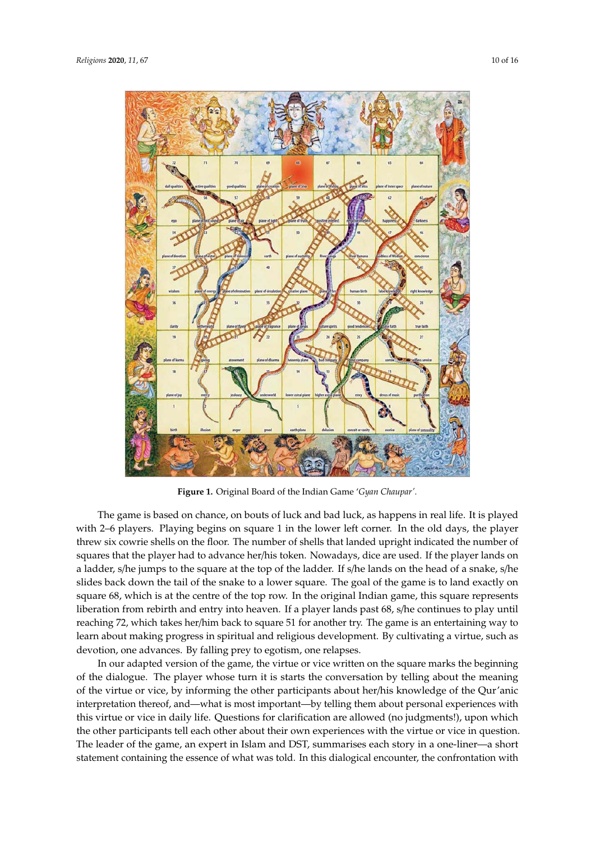<span id="page-9-0"></span>

**Figure 1.** Original Board of the Indian Game '*Gyan Chaupar'.* **Figure 1.** Original Board of the Indian Game '*Gyan Chaupar'.*

The game is based on chance, on bouts of luck and bad luck, as happens in real life. It is played The game is based on chance, on bouts of luck and bad luck, as happens in real life. It is played with 2–6 players. Playing begins on square 1 in the lower left corner. In the old days, the player threw six cowrie shells on the floor. The number of shells that landed upright indicated the number of squares that the player had to advance her/his token. Nowadays, dice are used. If the player lands on squares that the player had to advance her/his token. Nowadays, dice are used. If the player lands on a ladder, s/he jumps to the square at the top of the ladder. If s/he lands on the head of a snake, s/he a ladder, s/he jumps to the square at the top of the ladder. If s/he lands on the head of a snake, s/he slides back down the tail of the snake to a lower square. The goal of the game is to land exactly on slides back down the tail of the snake to a lower square. The goal of the game is to land exactly on square 68, which is at the centre of the top row. In the original Indian game, this square represents square 68, which is at the centre of the top row. In the original Indian game, this square represents liberation from rebirth and entry into heaven. If a player lands past 68, s/he continues to play until liberation from rebirth and entry into heaven. If a player lands past 68, s/he continues to play until reaching 72, which takes her/him back to square 51 for another try. The game is an entertaining way reaching 72, which takes her/him back to square 51 for another try. The game is an entertaining way to learn about making progress in spiritual and religious development. By cultivating a virtue, such as devotion, one advances. By falling prey to egotism, one relapses.

In our adapted version of the game, the virtue or vice written on the square marks the beginning In our adapted version of the game, the virtue or vice written on the square marks the beginning of the dialogue. The player whose turn it is starts the conversation by telling about the meaning of the virtue or vice, by informing the other participants about her/his knowledge of the Qur'anic interpretation thereof, and—what is most important—by telling them about personal experiences interpretation thereof, and—what is most important—by telling them about personal experiences with this virtue or vice in daily life. Questions for clarification are allowed (no judgments!), upon which the other participants tell each other about their own experiences with the virtue or vice in question. The leader of the game, an expert in Islam and DST, summarises each story in a one-liner—a short statement containing the essence of what was told. In this dialogical encounter, the confrontation with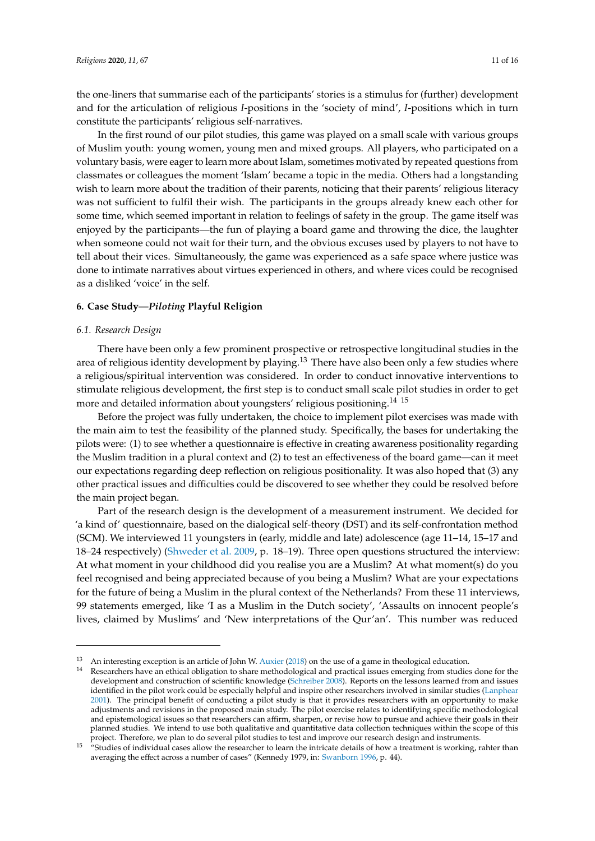the one-liners that summarise each of the participants' stories is a stimulus for (further) development and for the articulation of religious *I*-positions in the 'society of mind', *I*-positions which in turn constitute the participants' religious self-narratives.

In the first round of our pilot studies, this game was played on a small scale with various groups of Muslim youth: young women, young men and mixed groups. All players, who participated on a voluntary basis, were eager to learn more about Islam, sometimes motivated by repeated questions from classmates or colleagues the moment 'Islam' became a topic in the media. Others had a longstanding wish to learn more about the tradition of their parents, noticing that their parents' religious literacy was not sufficient to fulfil their wish. The participants in the groups already knew each other for some time, which seemed important in relation to feelings of safety in the group. The game itself was enjoyed by the participants—the fun of playing a board game and throwing the dice, the laughter when someone could not wait for their turn, and the obvious excuses used by players to not have to tell about their vices. Simultaneously, the game was experienced as a safe space where justice was done to intimate narratives about virtues experienced in others, and where vices could be recognised as a disliked 'voice' in the self.

# **6. Case Study—***Piloting* **Playful Religion**

#### *6.1. Research Design*

There have been only a few prominent prospective or retrospective longitudinal studies in the area of religious identity development by playing.<sup>13</sup> There have also been only a few studies where a religious/spiritual intervention was considered. In order to conduct innovative interventions to stimulate religious development, the first step is to conduct small scale pilot studies in order to get more and detailed information about youngsters' religious positioning.<sup>14 15</sup>

Before the project was fully undertaken, the choice to implement pilot exercises was made with the main aim to test the feasibility of the planned study. Specifically, the bases for undertaking the pilots were: (1) to see whether a questionnaire is effective in creating awareness positionality regarding the Muslim tradition in a plural context and (2) to test an effectiveness of the board game—can it meet our expectations regarding deep reflection on religious positionality. It was also hoped that (3) any other practical issues and difficulties could be discovered to see whether they could be resolved before the main project began.

Part of the research design is the development of a measurement instrument. We decided for 'a kind of' questionnaire, based on the dialogical self-theory (DST) and its self-confrontation method (SCM). We interviewed 11 youngsters in (early, middle and late) adolescence (age 11–14, 15–17 and 18–24 respectively) [\(Shweder et al.](#page-14-21) [2009,](#page-14-21) p. 18–19). Three open questions structured the interview: At what moment in your childhood did you realise you are a Muslim? At what moment(s) do you feel recognised and being appreciated because of you being a Muslim? What are your expectations for the future of being a Muslim in the plural context of the Netherlands? From these 11 interviews, 99 statements emerged, like 'I as a Muslim in the Dutch society', 'Assaults on innocent people's lives, claimed by Muslims' and 'New interpretations of the Qur'an'. This number was reduced

<sup>&</sup>lt;sup>13</sup> An interesting exception is an article of John W. [Auxier](#page-13-6) [\(2018\)](#page-13-6) on the use of a game in theological education.

<sup>&</sup>lt;sup>14</sup> Researchers have an ethical obligation to share methodological and practical issues emerging from studies done for the development and construction of scientific knowledge [\(Schreiber](#page-14-22) [2008\)](#page-14-22). Reports on the lessons learned from and issues identified in the pilot work could be especially helpful and inspire other researchers involved in similar studies [\(Lanphear](#page-14-23) [2001\)](#page-14-23). The principal benefit of conducting a pilot study is that it provides researchers with an opportunity to make adjustments and revisions in the proposed main study. The pilot exercise relates to identifying specific methodological and epistemological issues so that researchers can affirm, sharpen, or revise how to pursue and achieve their goals in their planned studies. We intend to use both qualitative and quantitative data collection techniques within the scope of this project. Therefore, we plan to do several pilot studies to test and improve our research design and instruments.

<sup>&</sup>lt;sup>15</sup> "Studies of individual cases allow the researcher to learn the intricate details of how a treatment is working, rahter than averaging the effect across a number of cases" (Kennedy 1979, in: [Swanborn](#page-15-7) [1996,](#page-15-7) p. 44).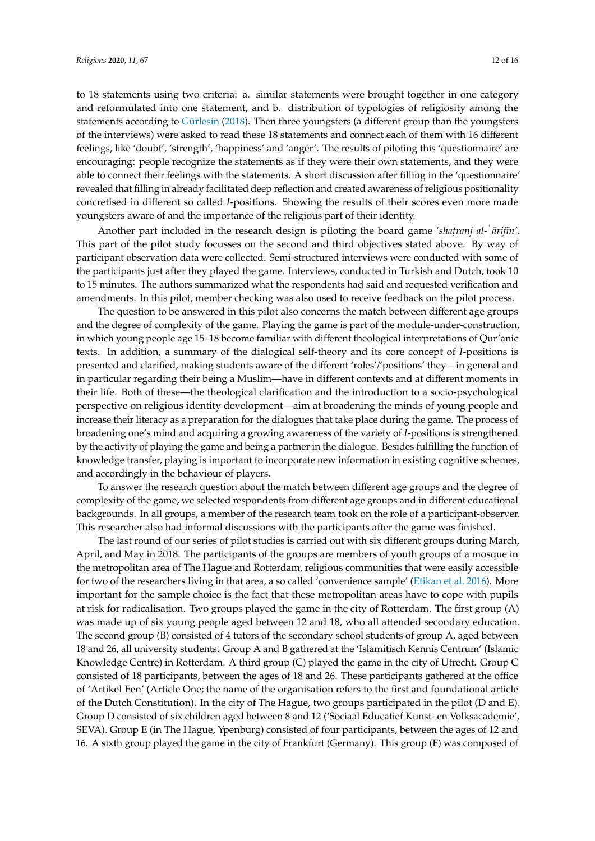to 18 statements using two criteria: a. similar statements were brought together in one category and reformulated into one statement, and b. distribution of typologies of religiosity among the statements according to [Gürlesin](#page-14-8) [\(2018\)](#page-14-8). Then three youngsters (a different group than the youngsters of the interviews) were asked to read these 18 statements and connect each of them with 16 different feelings, like 'doubt', 'strength', 'happiness' and 'anger'. The results of piloting this 'questionnaire' are encouraging: people recognize the statements as if they were their own statements, and they were able to connect their feelings with the statements. A short discussion after filling in the 'questionnaire' revealed that filling in already facilitated deep reflection and created awareness of religious positionality concretised in different so called *I*-positions. Showing the results of their scores even more made youngsters aware of and the importance of the religious part of their identity.

Another part included in the research design is piloting the board game 'shatranj al- arifin'. This part of the pilot study focusses on the second and third objectives stated above. By way of participant observation data were collected. Semi-structured interviews were conducted with some of the participants just after they played the game. Interviews, conducted in Turkish and Dutch, took 10 to 15 minutes. The authors summarized what the respondents had said and requested verification and amendments. In this pilot, member checking was also used to receive feedback on the pilot process.

and the degree of complexity of the game. Playing the game is part of the module-under-construction, in which young people age 15-18 become familiar with different theological interpretations of Qur'anic <sup>1</sup><br>in particular regarding their being a Muslim—have in different contexts and at different moments in their life. Both of these—the theological clarification and the introduction to a socio-psychological perspective on religious identity development—aim at broadening the minds of young people and increase their literacy as a preparation for the dialogues that take place during the game. The process of broadening one's mind and acquiring a growing awareness of the variety of *I-*positions is strengthened by the activity of playing the game and being a partner in the dialogue. Besides fulfilling the function of knowledge transfer, playing is important to incorporate new information in existing cognitive schemes, The question to be answered in this pilot also concerns the match between different age groups texts. In addition, a summary of the dialogical self-theory and its core concept of *I*-positions is presented and clarified, making students aware of the different 'roles'/'positions' they—in general and and accordingly in the behaviour of players.

This researcher also had informal discussions with the participants after the game was finished. To answer the research question about the match between different age groups and the degree of complexity of the game, we selected respondents from different age groups and in different educational backgrounds. In all groups, a member of the research team took on the role of a participant-observer.

The last round of our series of pilot studies is carried out with six different groups during March, April, and May in 2018. The participants of the groups are members of youth groups of a mosque in the metropolitan area of The Hague and Rotterdam, religious communities that were easily accessible for two of the researchers living in that area, a so called 'convenience sample' [\(Etikan et al.](#page-14-24) [2016\)](#page-14-24). More important for the sample choice is the fact that these metropolitan areas have to cope with pupils at risk for radicalisation. Two groups played the game in the city of Rotterdam. The first group (A) was made up of six young people aged between 12 and 18, who all attended secondary education. The second group (B) consisted of 4 tutors of the secondary school students of group A, aged between 18 and 26, all university students. Group A and B gathered at the 'Islamitisch Kennis Centrum' (Islamic Knowledge Centre) in Rotterdam. A third group (C) played the game in the city of Utrecht. Group C consisted of 18 participants, between the ages of 18 and 26. These participants gathered at the office of 'Artikel Een' (Article One; the name of the organisation refers to the first and foundational article of the Dutch Constitution). In the city of The Hague, two groups participated in the pilot (D and E). Group D consisted of six children aged between 8 and 12 ('Sociaal Educatief Kunst- en Volksacademie', SEVA). Group E (in The Hague, Ypenburg) consisted of four participants, between the ages of 12 and 16. A sixth group played the game in the city of Frankfurt (Germany). This group (F) was composed of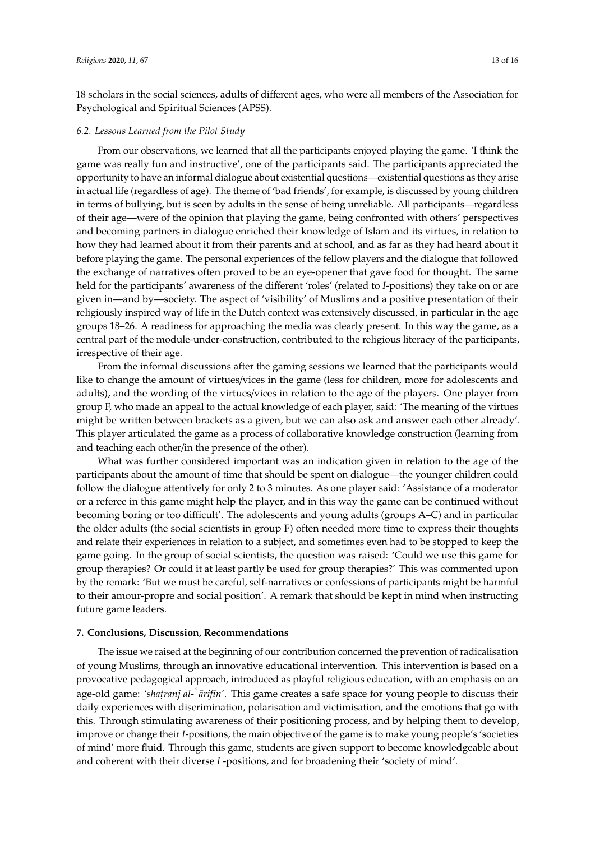18 scholars in the social sciences, adults of different ages, who were all members of the Association for Psychological and Spiritual Sciences (APSS).

# *6.2. Lessons Learned from the Pilot Study*

From our observations, we learned that all the participants enjoyed playing the game. 'I think the game was really fun and instructive', one of the participants said. The participants appreciated the opportunity to have an informal dialogue about existential questions—existential questions as they arise in actual life (regardless of age). The theme of 'bad friends', for example, is discussed by young children in terms of bullying, but is seen by adults in the sense of being unreliable. All participants—regardless of their age—were of the opinion that playing the game, being confronted with others' perspectives and becoming partners in dialogue enriched their knowledge of Islam and its virtues, in relation to how they had learned about it from their parents and at school, and as far as they had heard about it before playing the game. The personal experiences of the fellow players and the dialogue that followed the exchange of narratives often proved to be an eye-opener that gave food for thought. The same held for the participants' awareness of the different 'roles' (related to *I*-positions) they take on or are given in—and by—society. The aspect of 'visibility' of Muslims and a positive presentation of their religiously inspired way of life in the Dutch context was extensively discussed, in particular in the age groups 18–26. A readiness for approaching the media was clearly present. In this way the game, as a central part of the module-under-construction, contributed to the religious literacy of the participants,<br>irrespective of their age. irrespective of their age. *Article* 

From the informal discussions after the gaming sessions we learned that the participants would like to change the amount of virtues/vices in the game (less for children, more for adolescents and adults), and the wording of the virtues/vices in relation to the age of the players. One player from group F, who made an appeal to the actual knowledge of each player, said: 'The meaning of the virtues might be written between brackets as a given, but we can also ask and answer each other already'. This player articulated the game as a process of collaborative knowledge construction (learning from and teaching each other/in the presence of the other).

What was further considered important was an indication given in relation to the age of the participants about the amount of time that should be spent on dialogue—the younger children could follow the dialogue attentively for only 2 to 3 minutes. As one player said: 'Assistance of a moderator or a referee in this game might help the player, and in this way the game can be continued without becoming boring or too difficult'. The adolescents and young adults (groups A–C) and in particular the older adults (the social scientists in group F) often needed more time to express their thoughts and relate their experiences in relation to a subject, and sometimes even had to be stopped to keep the game going. In the group of social scientists, the question was raised: 'Could we use this game for group therapies? Or could it at least partly be used for group therapies?' This was commented upon by the remark: 'But we must be careful, self-narratives or confessions of participants might be harmful to their amour-propre and social position'. A remark that should be kept in mind when instructing future game leaders.  $\overline{a}$ 

# **7. Conclusions, Discussion, Recommendations** focuses on the prevention in education in education. Crucial here is a dialogical here is a dialogical relationship of  $\mathbf{r}$

The issue we raised at the beginning of our contribution concerned the prevention of radicalisation of young Muslims, through an innovative educational intervention. This intervention is based on a provocative pedagogical approach, introduced as playful religious education, with an emphasis on an age-old game: 'shatranj al- arifin'. This game creates a safe space for young people to discuss their daily experiences with discrimination, polarisation and victimisation, and the emotions that go with this. Through stimulating awareness of their positioning process, and by helping them to develop, improve or change their *I*-positions, the main objective of the game is to make young people's 'societies of mind' more fluid. Through this game, students are given support to become knowledgeable about and coherent with their diverse *I* -positions, and for broadening their 'society of mind'.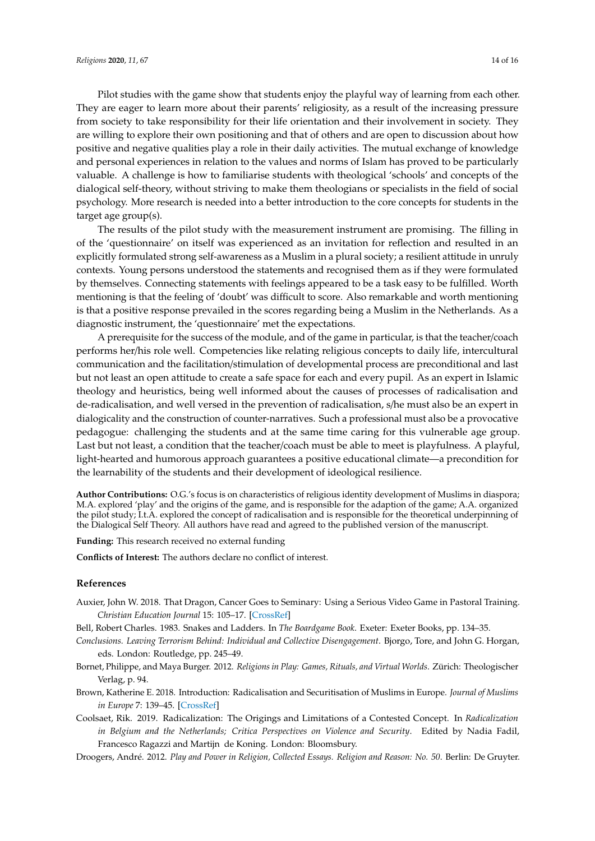Pilot studies with the game show that students enjoy the playful way of learning from each other. They are eager to learn more about their parents' religiosity, as a result of the increasing pressure from society to take responsibility for their life orientation and their involvement in society. They are willing to explore their own positioning and that of others and are open to discussion about how positive and negative qualities play a role in their daily activities. The mutual exchange of knowledge and personal experiences in relation to the values and norms of Islam has proved to be particularly valuable. A challenge is how to familiarise students with theological 'schools' and concepts of the dialogical self-theory, without striving to make them theologians or specialists in the field of social

target age group(s). The results of the pilot study with the measurement instrument are promising. The filling in of the 'questionnaire' on itself was experienced as an invitation for reflection and resulted in an explicitly formulated strong self-awareness as a Muslim in a plural society; a resilient attitude in unruly contexts. Young persons understood the statements and recognised them as if they were formulated by themselves. Connecting statements with feelings appeared to be a task easy to be fulfilled. Worth mentioning is that the feeling of 'doubt' was difficult to score. Also remarkable and worth mentioning is that a positive response prevailed in the scores regarding being a Muslim in the Netherlands. As a diagnostic instrument, the 'questionnaire' met the expectations.

psychology. More research is needed into a better introduction to the core concepts for students in the

A prerequisite for the success of the module, and of the game in particular, is that the teacher/coach performs her/his role well. Competencies like relating religious concepts to daily life, intercultural communication and the facilitation/stimulation of developmental process are preconditional and last but not least an open attitude to create a safe space for each and every pupil. As an expert in Islamic theology and heuristics, being well informed about the causes of processes of radicalisation and de-radicalisation, and well versed in the prevention of radicalisation, s/he must also be an expert in dialogicality and the construction of counter-narratives. Such a professional must also be a provocative pedagogue: challenging the students and at the same time caring for this vulnerable age group. Last but not least, a condition that the teacher/coach must be able to meet is playfulness. A playful, light-hearted and humorous approach guarantees a positive educational climate—a precondition for the learnability of the students and their development of ideological resilience.

**Author Contributions:** O.G.'s focus is on characteristics of religious identity development of Muslims in diaspora; M.A. explored 'play' and the origins of the game, and is responsible for the adaption of the game; A.A. organized the pilot study; I.t.A. explored the concept of radicalisation and is responsible for the theoretical underpinning of the Dialogical Self Theory. All authors have read and agreed to the published version of the manuscript.

**Funding:** This research received no external funding

**Conflicts of Interest:** The authors declare no conflict of interest.

#### **References**

- <span id="page-13-6"></span>Auxier, John W. 2018. That Dragon, Cancer Goes to Seminary: Using a Serious Video Game in Pastoral Training. *Christian Education Journal* 15: 105–17. [\[CrossRef\]](http://dx.doi.org/10.1177/0739891318759725)
- <span id="page-13-5"></span>Bell, Robert Charles. 1983. Snakes and Ladders. In *The Boardgame Book*. Exeter: Exeter Books, pp. 134–35.
- <span id="page-13-2"></span>*Conclusions. Leaving Terrorism Behind: Individual and Collective Disengagement*. Bjorgo, Tore, and John G. Horgan, eds. London: Routledge, pp. 245–49.
- <span id="page-13-4"></span>Bornet, Philippe, and Maya Burger. 2012. *Religions in Play: Games, Rituals, and Virtual Worlds*. Zürich: Theologischer Verlag, p. 94.
- <span id="page-13-1"></span>Brown, Katherine E. 2018. Introduction: Radicalisation and Securitisation of Muslims in Europe. *Journal of Muslims in Europe* 7: 139–45. [\[CrossRef\]](http://dx.doi.org/10.1163/22117954-12341366)
- <span id="page-13-0"></span>Coolsaet, Rik. 2019. Radicalization: The Origings and Limitations of a Contested Concept. In *Radicalization in Belgium and the Netherlands; Critica Perspectives on Violence and Security*. Edited by Nadia Fadil, Francesco Ragazzi and Martijn de Koning. London: Bloomsbury.

<span id="page-13-3"></span>Droogers, André. 2012. *Play and Power in Religion, Collected Essays. Religion and Reason: No. 50*. Berlin: De Gruyter.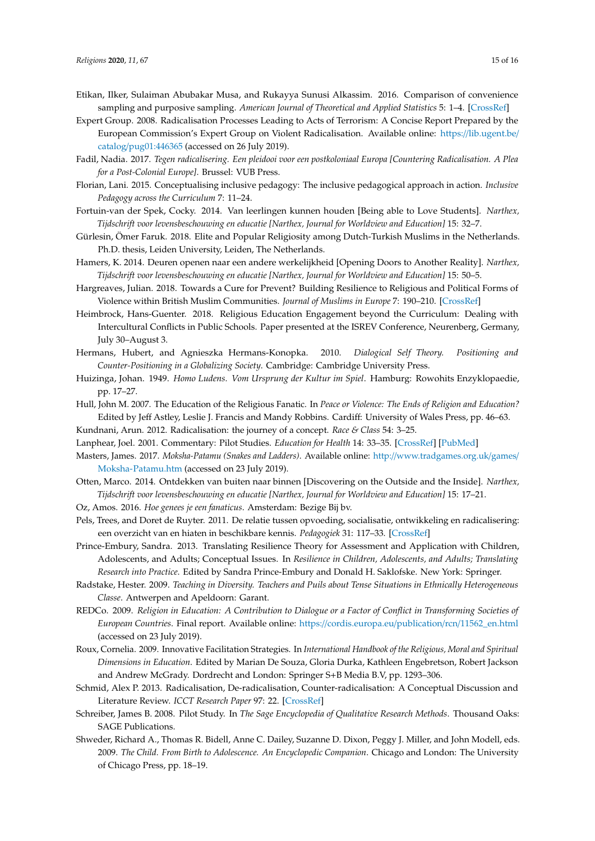- <span id="page-14-24"></span>Etikan, Ilker, Sulaiman Abubakar Musa, and Rukayya Sunusi Alkassim. 2016. Comparison of convenience sampling and purposive sampling. *American Journal of Theoretical and Applied Statistics* 5: 1–4. [\[CrossRef\]](http://dx.doi.org/10.11648/j.ajtas.20160501.11)
- <span id="page-14-2"></span>Expert Group. 2008. Radicalisation Processes Leading to Acts of Terrorism: A Concise Report Prepared by the European Commission's Expert Group on Violent Radicalisation. Available online: https://[lib.ugent.be](https://lib.ugent.be/catalog/pug01:446365)/ catalog/[pug01:446365](https://lib.ugent.be/catalog/pug01:446365) (accessed on 26 July 2019).
- <span id="page-14-4"></span>Fadil, Nadia. 2017. *Tegen radicalisering. Een pleidooi voor een postkoloniaal Europa [Countering Radicalisation. A Plea for a Post-Colonial Europe]*. Brussel: VUB Press.
- <span id="page-14-7"></span>Florian, Lani. 2015. Conceptualising inclusive pedagogy: The inclusive pedagogical approach in action. *Inclusive Pedagogy across the Curriculum* 7: 11–24.
- <span id="page-14-12"></span>Fortuin-van der Spek, Cocky. 2014. Van leerlingen kunnen houden [Being able to Love Students]. *Narthex, Tijdschrift voor levensbeschouwing en educatie [Narthex, Journal for Worldview and Education]* 15: 32–7.
- <span id="page-14-8"></span>Gürlesin, Ömer Faruk. 2018. Elite and Popular Religiosity among Dutch-Turkish Muslims in the Netherlands. Ph.D. thesis, Leiden University, Leiden, The Netherlands.
- <span id="page-14-13"></span>Hamers, K. 2014. Deuren openen naar een andere werkelijkheid [Opening Doors to Another Reality]. *Narthex, Tijdschrift voor levensbeschouwing en educatie [Narthex, Journal for Worldview and Education]* 15: 50–5.
- <span id="page-14-15"></span>Hargreaves, Julian. 2018. Towards a Cure for Prevent? Building Resilience to Religious and Political Forms of Violence within British Muslim Communities. *Journal of Muslims in Europe* 7: 190–210. [\[CrossRef\]](http://dx.doi.org/10.1163/22117954-12341372)
- <span id="page-14-14"></span>Heimbrock, Hans-Guenter. 2018. Religious Education Engagement beyond the Curriculum: Dealing with Intercultural Conflicts in Public Schools. Paper presented at the ISREV Conference, Neurenberg, Germany, July 30–August 3.
- <span id="page-14-1"></span>Hermans, Hubert, and Agnieszka Hermans-Konopka. 2010. *Dialogical Self Theory. Positioning and Counter-Positioning in a Globalizing Society*. Cambridge: Cambridge University Press.
- <span id="page-14-17"></span>Huizinga, Johan. 1949. *Homo Ludens. Vom Ursprung der Kultur im Spiel*. Hamburg: Rowohits Enzyklopaedie, pp. 17–27.
- <span id="page-14-3"></span>Hull, John M. 2007. The Education of the Religious Fanatic. In *Peace or Violence: The Ends of Religion and Education?* Edited by Jeff Astley, Leslie J. Francis and Mandy Robbins. Cardiff: University of Wales Press, pp. 46–63.
- <span id="page-14-0"></span>Kundnani, Arun. 2012. Radicalisation: the journey of a concept. *Race & Class* 54: 3–25.
- <span id="page-14-23"></span>Lanphear, Joel. 2001. Commentary: Pilot Studies. *Education for Health* 14: 33–35. [\[CrossRef\]](http://dx.doi.org/10.1080/13576280010021914) [\[PubMed\]](http://www.ncbi.nlm.nih.gov/pubmed/14742042)
- <span id="page-14-20"></span>Masters, James. 2017. *Moksha-Patamu (Snakes and Ladders)*. Available online: http://[www.tradgames.org.uk](http://www.tradgames.org.uk/games/Moksha-Patamu.htm)/games/ [Moksha-Patamu.htm](http://www.tradgames.org.uk/games/Moksha-Patamu.htm) (accessed on 23 July 2019).
- <span id="page-14-11"></span>Otten, Marco. 2014. Ontdekken van buiten naar binnen [Discovering on the Outside and the Inside]. *Narthex, Tijdschrift voor levensbeschouwing en educatie [Narthex, Journal for Worldview and Education]* 15: 17–21.
- <span id="page-14-19"></span><span id="page-14-6"></span>Oz, Amos. 2016. *Hoe genees je een fanaticus*. Amsterdam: Bezige Bij bv.
- Pels, Trees, and Doret de Ruyter. 2011. De relatie tussen opvoeding, socialisatie, ontwikkeling en radicalisering: een overzicht van en hiaten in beschikbare kennis. *Pedagogiek* 31: 117–33. [\[CrossRef\]](http://dx.doi.org/10.5117/PED2011.2.PELS)
- <span id="page-14-16"></span>Prince-Embury, Sandra. 2013. Translating Resilience Theory for Assessment and Application with Children, Adolescents, and Adults; Conceptual Issues. In *Resilience in Children, Adolescents, and Adults; Translating Research into Practice*. Edited by Sandra Prince-Embury and Donald H. Saklofske. New York: Springer.
- <span id="page-14-10"></span>Radstake, Hester. 2009. *Teaching in Diversity. Teachers and Puils about Tense Situations in Ethnically Heterogeneous Classe*. Antwerpen and Apeldoorn: Garant.
- <span id="page-14-9"></span>REDCo. 2009. *Religion in Education: A Contribution to Dialogue or a Factor of Conflict in Transforming Societies of European Countries*. Final report. Available online: https://[cordis.europa.eu](https://cordis.europa.eu/publication/rcn/11562_en.html)/publication/rcn/11562\_en.html (accessed on 23 July 2019).
- <span id="page-14-18"></span>Roux, Cornelia. 2009. Innovative Facilitation Strategies. In *International Handbook of the Religious, Moral and Spiritual Dimensions in Education*. Edited by Marian De Souza, Gloria Durka, Kathleen Engebretson, Robert Jackson and Andrew McGrady. Dordrecht and London: Springer S+B Media B.V, pp. 1293–306.
- <span id="page-14-5"></span>Schmid, Alex P. 2013. Radicalisation, De-radicalisation, Counter-radicalisation: A Conceptual Discussion and Literature Review. *ICCT Research Paper* 97: 22. [\[CrossRef\]](http://dx.doi.org/10.19165/2013.1.02)
- <span id="page-14-22"></span>Schreiber, James B. 2008. Pilot Study. In *The Sage Encyclopedia of Qualitative Research Methods*. Thousand Oaks: SAGE Publications.
- <span id="page-14-21"></span>Shweder, Richard A., Thomas R. Bidell, Anne C. Dailey, Suzanne D. Dixon, Peggy J. Miller, and John Modell, eds. 2009. *The Child. From Birth to Adolescence. An Encyclopedic Companion*. Chicago and London: The University of Chicago Press, pp. 18–19.